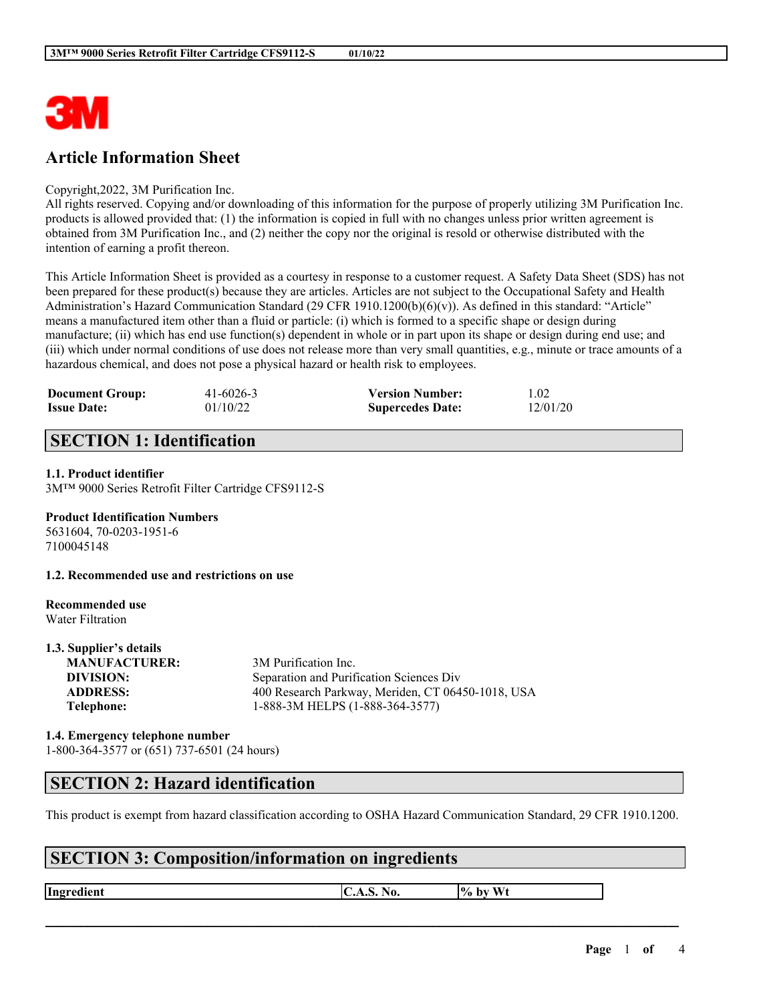

# **Article Information Sheet**

#### Copyright,2022, 3M Purification Inc.

All rights reserved. Copying and/or downloading of this information for the purpose of properly utilizing 3M Purification Inc. products is allowed provided that: (1) the information is copied in full with no changes unless prior written agreement is obtained from 3M Purification Inc., and (2) neither the copy nor the original is resold or otherwise distributed with the intention of earning a profit thereon.

This Article Information Sheet is provided as a courtesy in response to a customer request. A Safety Data Sheet (SDS) has not been prepared for these product(s) because they are articles. Articles are not subject to the Occupational Safety and Health Administration's Hazard Communication Standard (29 CFR 1910.1200(b)(6)(v)). As defined in this standard: "Article" means a manufactured item other than a fluid or particle: (i) which is formed to a specific shape or design during manufacture; (ii) which has end use function(s) dependent in whole or in part upon its shape or design during end use; and (iii) which under normal conditions of use does not release more than very small quantities, e.g., minute or trace amounts of a hazardous chemical, and does not pose a physical hazard or health risk to employees.

| <b>Document Group:</b> | $41 - 6026 - 3$ | <b>Version Number:</b>  | 1.02     |
|------------------------|-----------------|-------------------------|----------|
| <b>Issue Date:</b>     | 01/10/22        | <b>Supercedes Date:</b> | 12/01/20 |

# **SECTION 1: Identification**

#### **1.1. Product identifier**

3M™ 9000 Series Retrofit Filter Cartridge CFS9112-S

### **Product Identification Numbers**

5631604, 70-0203-1951-6 7100045148

**1.2. Recommended use and restrictions on use**

#### **Recommended use** Water Filtration

**1.3. Supplier's details**

| 1.3. Supplier's details |                                                   |
|-------------------------|---------------------------------------------------|
| <b>MANUFACTURER:</b>    | 3M Purification Inc.                              |
| DIVISION:               | Separation and Purification Sciences Div          |
| <b>ADDRESS:</b>         | 400 Research Parkway, Meriden, CT 06450-1018, USA |
| Telephone:              | 1-888-3M HELPS (1-888-364-3577)                   |
|                         |                                                   |

### **1.4. Emergency telephone number** 1-800-364-3577 or (651) 737-6501 (24 hours)

### **SECTION 2: Hazard identification**

This product is exempt from hazard classification according to OSHA Hazard Communication Standard, 29 CFR 1910.1200.

 $\mathcal{L}_\mathcal{L} = \mathcal{L}_\mathcal{L} = \mathcal{L}_\mathcal{L} = \mathcal{L}_\mathcal{L} = \mathcal{L}_\mathcal{L} = \mathcal{L}_\mathcal{L} = \mathcal{L}_\mathcal{L} = \mathcal{L}_\mathcal{L} = \mathcal{L}_\mathcal{L} = \mathcal{L}_\mathcal{L} = \mathcal{L}_\mathcal{L} = \mathcal{L}_\mathcal{L} = \mathcal{L}_\mathcal{L} = \mathcal{L}_\mathcal{L} = \mathcal{L}_\mathcal{L} = \mathcal{L}_\mathcal{L} = \mathcal{L}_\mathcal{L}$ 

# **SECTION 3: Composition/information on ingredients**

**Ingredient C.A.S.** No.  $\begin{bmatrix} \phi & \phi \end{bmatrix}$  by Wt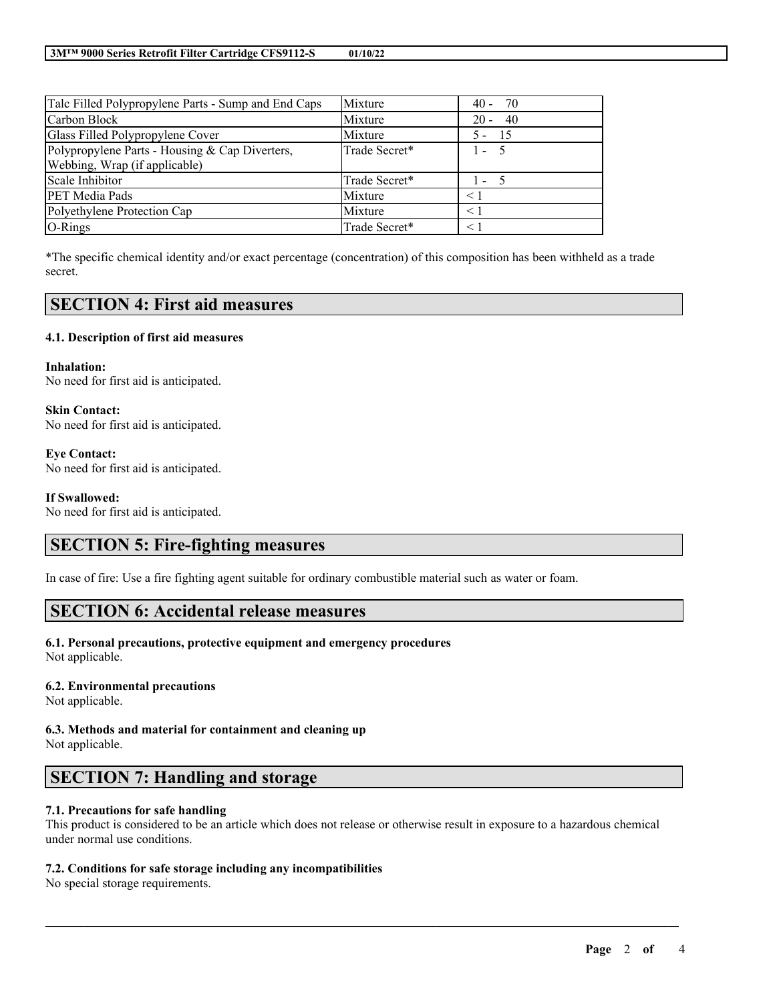| Talc Filled Polypropylene Parts - Sump and End Caps | Mixture       | - 70<br>$40 -$ |
|-----------------------------------------------------|---------------|----------------|
| Carbon Block                                        | Mixture       | - 40<br>$20 -$ |
| Glass Filled Polypropylene Cover                    | Mixture       | - 15<br>$5 -$  |
| Polypropylene Parts - Housing & Cap Diverters,      | Trade Secret* | $1 - 5$        |
| Webbing, Wrap (if applicable)                       |               |                |
| Scale Inhibitor                                     | Trade Secret* | $1 - 5$        |
| <b>PET Media Pads</b>                               | Mixture       | $\leq 1$       |
| Polyethylene Protection Cap                         | Mixture       | < 1            |
| O-Rings                                             | Trade Secret* | $\leq 1$       |

\*The specific chemical identity and/or exact percentage (concentration) of this composition has been withheld as a trade secret.

## **SECTION 4: First aid measures**

### **4.1. Description of first aid measures**

**Inhalation:** No need for first aid is anticipated.

**Skin Contact:** No need for first aid is anticipated.

**Eye Contact:** No need for first aid is anticipated.

#### **If Swallowed:**

No need for first aid is anticipated.

## **SECTION 5: Fire-fighting measures**

In case of fire: Use a fire fighting agent suitable for ordinary combustible material such as water or foam.

### **SECTION 6: Accidental release measures**

### **6.1. Personal precautions, protective equipment and emergency procedures**

Not applicable.

### **6.2. Environmental precautions**

Not applicable.

**6.3. Methods and material for containment and cleaning up** Not applicable.

## **SECTION 7: Handling and storage**

### **7.1. Precautions for safe handling**

This product is considered to be an article which does not release or otherwise result in exposure to a hazardous chemical under normal use conditions.

 $\mathcal{L}_\mathcal{L} = \mathcal{L}_\mathcal{L} = \mathcal{L}_\mathcal{L} = \mathcal{L}_\mathcal{L} = \mathcal{L}_\mathcal{L} = \mathcal{L}_\mathcal{L} = \mathcal{L}_\mathcal{L} = \mathcal{L}_\mathcal{L} = \mathcal{L}_\mathcal{L} = \mathcal{L}_\mathcal{L} = \mathcal{L}_\mathcal{L} = \mathcal{L}_\mathcal{L} = \mathcal{L}_\mathcal{L} = \mathcal{L}_\mathcal{L} = \mathcal{L}_\mathcal{L} = \mathcal{L}_\mathcal{L} = \mathcal{L}_\mathcal{L}$ 

### **7.2. Conditions for safe storage including any incompatibilities**

No special storage requirements.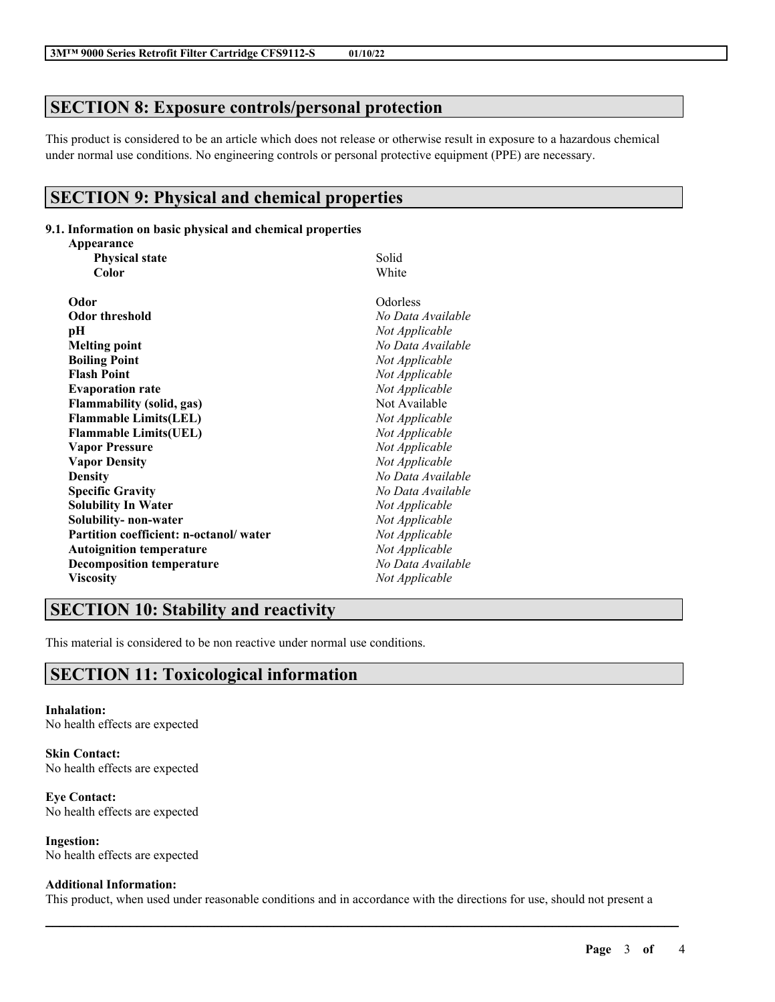# **SECTION 8: Exposure controls/personal protection**

This product is considered to be an article which does not release or otherwise result in exposure to a hazardous chemical under normal use conditions. No engineering controls or personal protective equipment (PPE) are necessary.

# **SECTION 9: Physical and chemical properties**

### **9.1. Information on basic physical and chemical properties**

| Appearance                             |                   |  |
|----------------------------------------|-------------------|--|
| <b>Physical state</b>                  | Solid             |  |
| Color                                  | White             |  |
| Odor                                   | Odorless          |  |
| <b>Odor threshold</b>                  | No Data Available |  |
| рH                                     | Not Applicable    |  |
| <b>Melting point</b>                   | No Data Available |  |
| <b>Boiling Point</b>                   | Not Applicable    |  |
| <b>Flash Point</b>                     | Not Applicable    |  |
| <b>Evaporation rate</b>                | Not Applicable    |  |
| <b>Flammability (solid, gas)</b>       | Not Available     |  |
| <b>Flammable Limits(LEL)</b>           | Not Applicable    |  |
| <b>Flammable Limits(UEL)</b>           | Not Applicable    |  |
| <b>Vapor Pressure</b>                  | Not Applicable    |  |
| <b>Vapor Density</b>                   | Not Applicable    |  |
| <b>Density</b>                         | No Data Available |  |
| <b>Specific Gravity</b>                | No Data Available |  |
| <b>Solubility In Water</b>             | Not Applicable    |  |
| Solubility- non-water                  | Not Applicable    |  |
| Partition coefficient: n-octanol/water | Not Applicable    |  |
| <b>Autoignition temperature</b>        | Not Applicable    |  |
| <b>Decomposition temperature</b>       | No Data Available |  |
| <b>Viscosity</b>                       | Not Applicable    |  |

# **SECTION 10: Stability and reactivity**

This material is considered to be non reactive under normal use conditions.

# **SECTION 11: Toxicological information**

**Inhalation:** No health effects are expected

**Skin Contact:** No health effects are expected

**Eye Contact:** No health effects are expected

**Ingestion:** No health effects are expected

### **Additional Information:**

This product, when used under reasonable conditions and in accordance with the directions for use, should not present a

 $\mathcal{L}_\mathcal{L} = \mathcal{L}_\mathcal{L} = \mathcal{L}_\mathcal{L} = \mathcal{L}_\mathcal{L} = \mathcal{L}_\mathcal{L} = \mathcal{L}_\mathcal{L} = \mathcal{L}_\mathcal{L} = \mathcal{L}_\mathcal{L} = \mathcal{L}_\mathcal{L} = \mathcal{L}_\mathcal{L} = \mathcal{L}_\mathcal{L} = \mathcal{L}_\mathcal{L} = \mathcal{L}_\mathcal{L} = \mathcal{L}_\mathcal{L} = \mathcal{L}_\mathcal{L} = \mathcal{L}_\mathcal{L} = \mathcal{L}_\mathcal{L}$